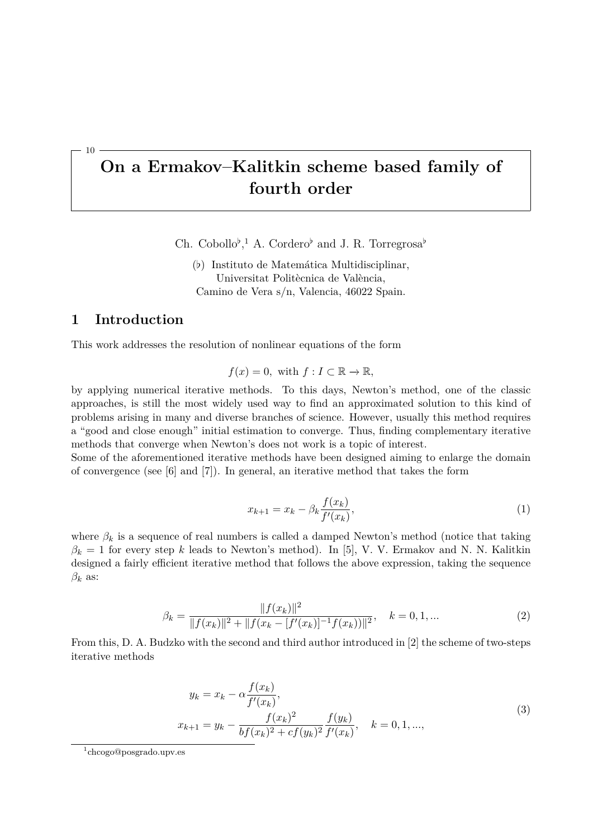# **On a Ermakov–Kalitkin scheme based family of fourth order**

Ch. Cobollo<sup>b</sup>,<sup>1</sup> A. Cordero<sup>b</sup> and J. R. Torregrosa<sup>b</sup>

(b) Instituto de Matemática Multidisciplinar, Universitat Politècnica de València, Camino de Vera s/n, Valencia, 46022 Spain.

## **1 Introduction**

10

This work addresses the resolution of nonlinear equations of the form

$$
f(x) = 0
$$
, with  $f: I \subset \mathbb{R} \to \mathbb{R}$ ,

by applying numerical iterative methods. To this days, Newton's method, one of the classic approaches, is still the most widely used way to find an approximated solution to this kind of problems arising in many and diverse branches of science. However, usually this method requires a "good and close enough" initial estimation to converge. Thus, finding complementary iterative methods that converge when Newton's does not work is a topic of interest.

Some of the aforementioned iterative methods have been designed aiming to enlarge the domain of convergence (see [6] and [7]). In general, an iterative method that takes the form

$$
x_{k+1} = x_k - \beta_k \frac{f(x_k)}{f'(x_k)},
$$
\n(1)

where  $\beta_k$  is a sequence of real numbers is called a damped Newton's method (notice that taking  $\beta_k = 1$  for every step *k* leads to Newton's method). In [5], V. V. Ermakov and N. N. Kalitkin designed a fairly efficient iterative method that follows the above expression, taking the sequence *β<sup>k</sup>* as:

$$
\beta_k = \frac{\|f(x_k)\|^2}{\|f(x_k)\|^2 + \|f(x_k - [f'(x_k)]^{-1}f(x_k))\|^2}, \quad k = 0, 1, \dots
$$
\n(2)

From this, D. A. Budzko with the second and third author introduced in [2] the scheme of two-steps iterative methods

$$
y_k = x_k - \alpha \frac{f(x_k)}{f'(x_k)},
$$
  
\n
$$
x_{k+1} = y_k - \frac{f(x_k)^2}{bf(x_k)^2 + cf(y_k)^2} \frac{f(y_k)}{f'(x_k)}, \quad k = 0, 1, ...,
$$
\n(3)

<sup>1</sup> chcogo@posgrado.upv.es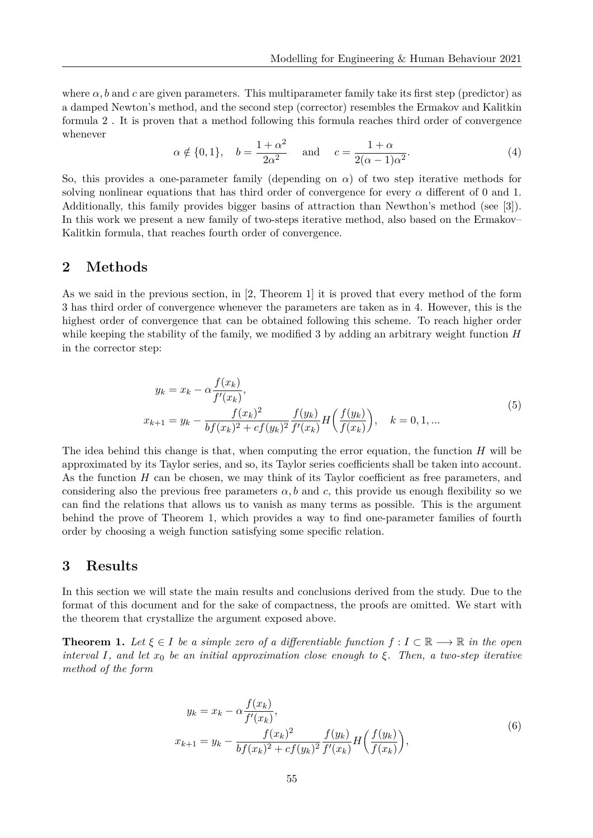where  $\alpha$ , b and c are given parameters. This multiparameter family take its first step (predictor) as a damped Newton's method, and the second step (corrector) resembles the Ermakov and Kalitkin formula 2 . It is proven that a method following this formula reaches third order of convergence whenever

$$
\alpha \notin \{0, 1\}, \quad b = \frac{1 + \alpha^2}{2\alpha^2} \quad \text{and} \quad c = \frac{1 + \alpha}{2(\alpha - 1)\alpha^2}.
$$
\n(4)

So, this provides a one-parameter family (depending on  $\alpha$ ) of two step iterative methods for solving nonlinear equations that has third order of convergence for every  $\alpha$  different of 0 and 1. Additionally, this family provides bigger basins of attraction than Newthon's method (see [3]). In this work we present a new family of two-steps iterative method, also based on the Ermakov– Kalitkin formula, that reaches fourth order of convergence.

## **2 Methods**

As we said in the previous section, in [2, Theorem 1] it is proved that every method of the form 3 has third order of convergence whenever the parameters are taken as in 4. However, this is the highest order of convergence that can be obtained following this scheme. To reach higher order while keeping the stability of the family, we modified 3 by adding an arbitrary weight function *H* in the corrector step:

$$
y_k = x_k - \alpha \frac{f(x_k)}{f'(x_k)},
$$
  
\n
$$
x_{k+1} = y_k - \frac{f(x_k)^2}{bf(x_k)^2 + cf(y_k)^2} \frac{f(y_k)}{f'(x_k)} H\left(\frac{f(y_k)}{f(x_k)}\right), \quad k = 0, 1, ...
$$
\n(5)

The idea behind this change is that, when computing the error equation, the function *H* will be approximated by its Taylor series, and so, its Taylor series coefficients shall be taken into account. As the function *H* can be chosen, we may think of its Taylor coefficient as free parameters, and considering also the previous free parameters  $\alpha$ , b and c, this provide us enough flexibility so we can find the relations that allows us to vanish as many terms as possible. This is the argument behind the prove of Theorem 1, which provides a way to find one-parameter families of fourth order by choosing a weigh function satisfying some specific relation.

#### **3 Results**

In this section we will state the main results and conclusions derived from the study. Due to the format of this document and for the sake of compactness, the proofs are omitted. We start with the theorem that crystallize the argument exposed above.

**Theorem 1.** Let  $\xi \in I$  be a simple zero of a differentiable function  $f : I \subset \mathbb{R} \longrightarrow \mathbb{R}$  in the open *interval I*, and let  $x_0$  *be an initial approximation close enough to*  $\xi$ . Then, a two-step iterative *method of the form*

$$
y_k = x_k - \alpha \frac{f(x_k)}{f'(x_k)},
$$
  
\n
$$
x_{k+1} = y_k - \frac{f(x_k)^2}{bf(x_k)^2 + cf(y_k)^2} \frac{f(y_k)}{f'(x_k)} H\left(\frac{f(y_k)}{f(x_k)}\right),
$$
\n(6)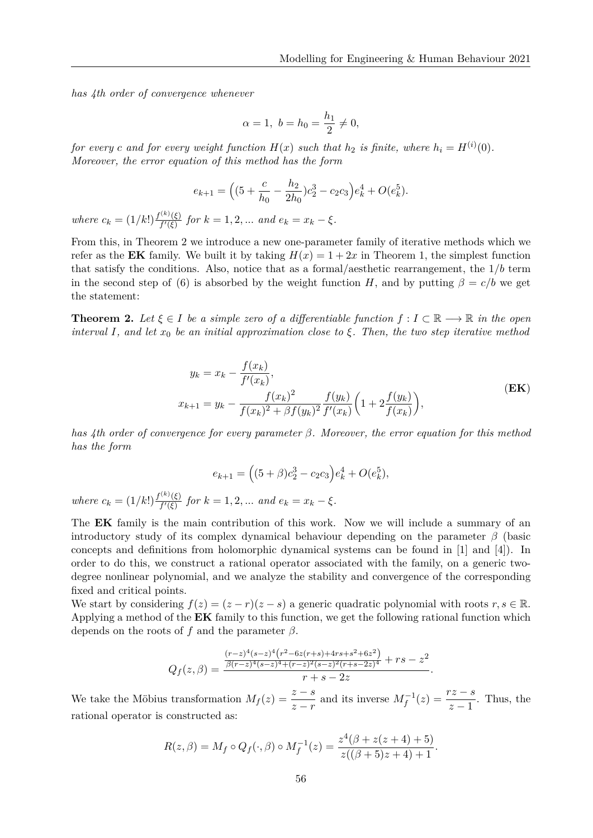*has 4th order of convergence whenever*

$$
\alpha = 1, b = h_0 = \frac{h_1}{2} \neq 0,
$$

*for every c* and for every weight function  $H(x)$  such that  $h_2$  is finite, where  $h_i = H^{(i)}(0)$ . *Moreover, the error equation of this method has the form*

$$
e_{k+1} = \left( (5 + \frac{c}{h_0} - \frac{h_2}{2h_0})c_2^3 - c_2c_3 \right) e_k^4 + O(e_k^5).
$$

*where*  $c_k = (1/k!) \frac{f^{(k)}(\xi)}{f'(\xi)}$ *f*<sup>((*ξ*)</sup>) *for*  $k = 1, 2, ...$  *and*  $e_k = x_k - \xi$ .

From this, in Theorem 2 we introduce a new one-parameter family of iterative methods which we refer as the **EK** family. We built it by taking  $H(x) = 1 + 2x$  in Theorem 1, the simplest function that satisfy the conditions. Also, notice that as a formal/aesthetic rearrangement, the 1*/b* term in the second step of (6) is absorbed by the weight function *H*, and by putting  $\beta = c/b$  we get the statement:

**Theorem 2.** Let  $\xi \in I$  be a simple zero of a differentiable function  $f : I \subset \mathbb{R} \longrightarrow \mathbb{R}$  in the open *interval I*, and let  $x_0$  be an initial approximation close to  $\xi$ . Then, the two step iterative method

$$
y_k = x_k - \frac{f(x_k)}{f'(x_k)},
$$
  
\n
$$
x_{k+1} = y_k - \frac{f(x_k)^2}{f(x_k)^2 + \beta f(y_k)^2} \frac{f(y_k)}{f'(x_k)} \left(1 + 2 \frac{f(y_k)}{f(x_k)}\right),
$$
\n(EK)

*has 4th order of convergence for every parameter β. Moreover, the error equation for this method has the form*

$$
e_{k+1} = ((5+\beta)c_2^3 - c_2c_3)e_k^4 + O(e_k^5),
$$

*where*  $c_k = (1/k!) \frac{f^{(k)}(\xi)}{f'(\xi)}$ *f*<sup>((*ξ*)</sup>) *for*  $k = 1, 2, ...$  *and*  $e_k = x_k - \xi$ .

The **EK** family is the main contribution of this work. Now we will include a summary of an introductory study of its complex dynamical behaviour depending on the parameter *β* (basic concepts and definitions from holomorphic dynamical systems can be found in [1] and [4]). In order to do this, we construct a rational operator associated with the family, on a generic twodegree nonlinear polynomial, and we analyze the stability and convergence of the corresponding fixed and critical points.

We start by considering  $f(z) = (z - r)(z - s)$  a generic quadratic polynomial with roots  $r, s \in \mathbb{R}$ . Applying a method of the **EK** family to this function, we get the following rational function which depends on the roots of *f* and the parameter *β*.

$$
Q_f(z,\beta) = \frac{\frac{(r-z)^4(s-z)^4(r^2-6z(r+s)+4rs+s^2+6z^2)}{\beta(r-z)^4(s-z)^4+(r-z)^2(s-z)^2(r+s-2z)^4} + rs - z^2}{r+s-2z}.
$$

We take the Möbius transformation  $M_f(z) = \frac{z-s}{z-r}$  and its inverse  $M_f^{-1}(z) = \frac{rz-s}{z-1}$ . Thus, the rational operator is constructed as:

$$
R(z,\beta) = M_f \circ Q_f(\cdot,\beta) \circ M_f^{-1}(z) = \frac{z^4(\beta + z(z+4) + 5)}{z((\beta + 5)z + 4) + 1}.
$$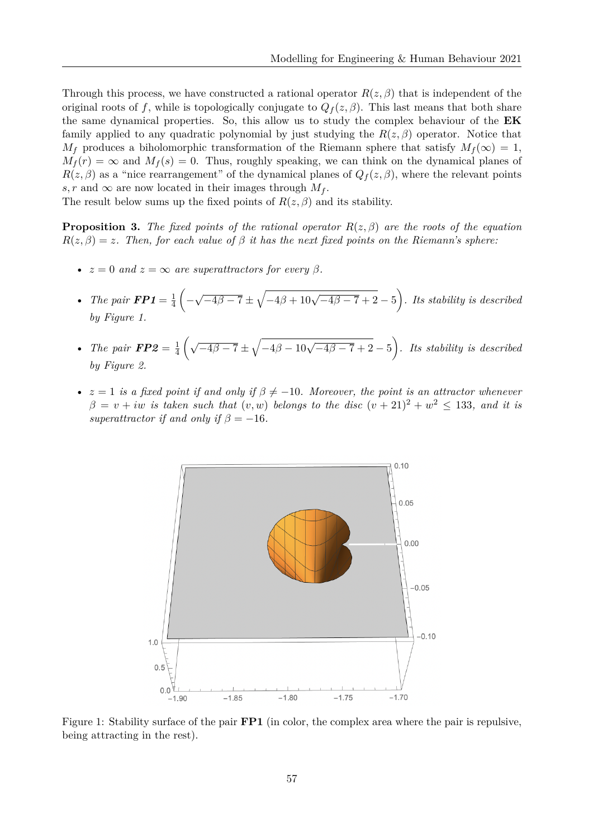Through this process, we have constructed a rational operator  $R(z, \beta)$  that is independent of the original roots of *f*, while is topologically conjugate to  $Q_f(z, \beta)$ . This last means that both share the same dynamical properties. So, this allow us to study the complex behaviour of the **EK** family applied to any quadratic polynomial by just studying the  $R(z, \beta)$  operator. Notice that  $M_f$  produces a biholomorphic transformation of the Riemann sphere that satisfy  $M_f(\infty) = 1$ ,  $M_f(r) = \infty$  and  $M_f(s) = 0$ . Thus, roughly speaking, we can think on the dynamical planes of  $R(z, \beta)$  as a "nice rearrangement" of the dynamical planes of  $Q_f(z, \beta)$ , where the relevant points *s, r* and  $\infty$  are now located in their images through  $M_f$ .

The result below sums up the fixed points of  $R(z, \beta)$  and its stability.

**Proposition 3.** *The fixed points of the rational operator*  $R(z, \beta)$  *are the roots of the equation*  $R(z, \beta) = z$ *. Then, for each value of*  $\beta$  *it has the next fixed points on the Riemann's sphere:* 

- $z = 0$  *and*  $z = \infty$  *are superattractors for every*  $\beta$ *.*
- *The pair*  $\mathbf{FP1} = \frac{1}{4}$ 4  $\Big($ √  $\sqrt{-4\beta-7} \pm \sqrt{-4\beta+10\sqrt{-4\beta-7}+2} - 5$ ). Its stability is described *by Figure 1.*
- *The pair*  $\mathbf{FP2} = \frac{1}{4}$ 4  $(\sqrt{-4\beta-7} \pm \sqrt{-4\beta-10\sqrt{-4\beta-7}+2}-5)$ . Its stability is described *by Figure 2.*
- $z = 1$  *is a fixed point if and only if*  $\beta \neq -10$ *. Moreover, the point is an attractor whenever*  $\beta = v + iw$  *is taken such that*  $(v, w)$  *belongs to the disc*  $(v + 21)^2 + w^2 \le 133$ *, and it is superattractor if and only if*  $\beta = -16$ *.*



Figure 1: Stability surface of the pair **FP1** (in color, the complex area where the pair is repulsive, being attracting in the rest).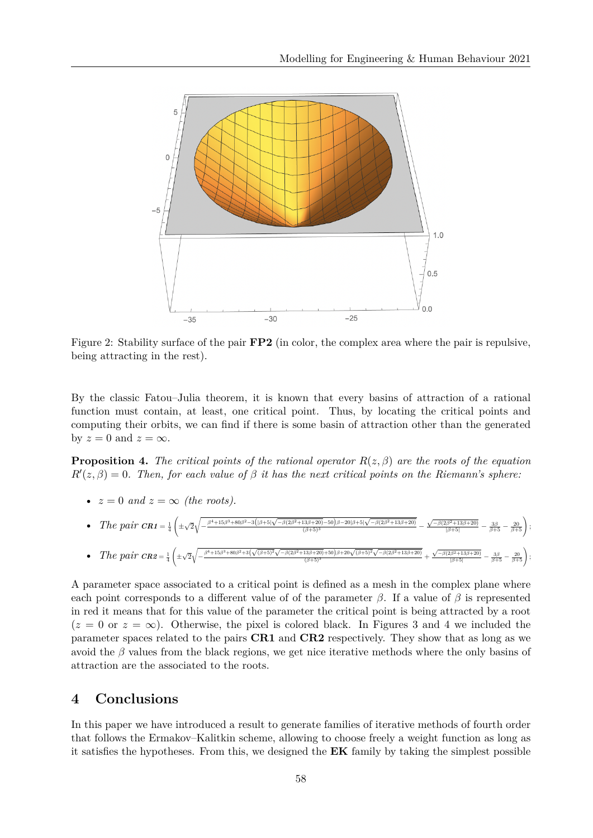

Figure 2: Stability surface of the pair **FP2** (in color, the complex area where the pair is repulsive, being attracting in the rest).

By the classic Fatou–Julia theorem, it is known that every basins of attraction of a rational function must contain, at least, one critical point. Thus, by locating the critical points and computing their orbits, we can find if there is some basin of attraction other than the generated by  $z = 0$  and  $z = \infty$ .

**Proposition 4.** *The critical points of the rational operator*  $R(z, \beta)$  *are the roots of the equation*  $R'(z, \beta) = 0$ . Then, for each value of  $\beta$  *it has the next critical points on the Riemann's sphere:* 

•  $z = 0$  and  $z = \infty$  (the roots).

• The pair 
$$
cn_1 = \frac{1}{4} \left( \pm \sqrt{2} \sqrt{-\frac{\beta^4 + 15 \beta^3 + 80 \beta^2 - 3\left( |\beta + 5| \sqrt{-\beta(2\beta^2 + 13\beta + 20)} - 50 \right) \beta - 20 |\beta + 5| \sqrt{-\beta(2\beta^2 + 13\beta + 20)}}}{(\beta + 5)^3} - \frac{\sqrt{-\beta(2\beta^2 + 13\beta + 20)}}{|\beta + 5|} - \frac{3\beta}{\beta + 5} - \frac{20}{\beta + 5} \right);
$$

• The pair 
$$
cnz = \frac{1}{4} \left( \pm \sqrt{2} \sqrt{-\frac{\beta^4 + 15 \beta^3 + 80 \beta^2 + 3(\sqrt{(\beta + 5)^2} \sqrt{-\beta(2\beta^2 + 13\beta + 20)} + 50)\beta + 20\sqrt{(\beta + 5)^2} \sqrt{-\beta(2\beta^2 + 13\beta + 20)}}}{(\beta + 5)^3} + \frac{\sqrt{-\beta(2\beta^2 + 13\beta + 20)}}{\beta + 5} - \frac{3\beta}{\beta + 5} - \frac{20}{\beta + 5} \right);
$$

A parameter space associated to a critical point is defined as a mesh in the complex plane where each point corresponds to a different value of of the parameter  $\beta$ . If a value of  $\beta$  is represented in red it means that for this value of the parameter the critical point is being attracted by a root  $(z = 0 \text{ or } z = \infty)$ . Otherwise, the pixel is colored black. In Figures 3 and 4 we included the parameter spaces related to the pairs **CR1** and **CR2** respectively. They show that as long as we avoid the  $\beta$  values from the black regions, we get nice iterative methods where the only basins of attraction are the associated to the roots.

## **4 Conclusions**

In this paper we have introduced a result to generate families of iterative methods of fourth order that follows the Ermakov–Kalitkin scheme, allowing to choose freely a weight function as long as it satisfies the hypotheses. From this, we designed the **EK** family by taking the simplest possible